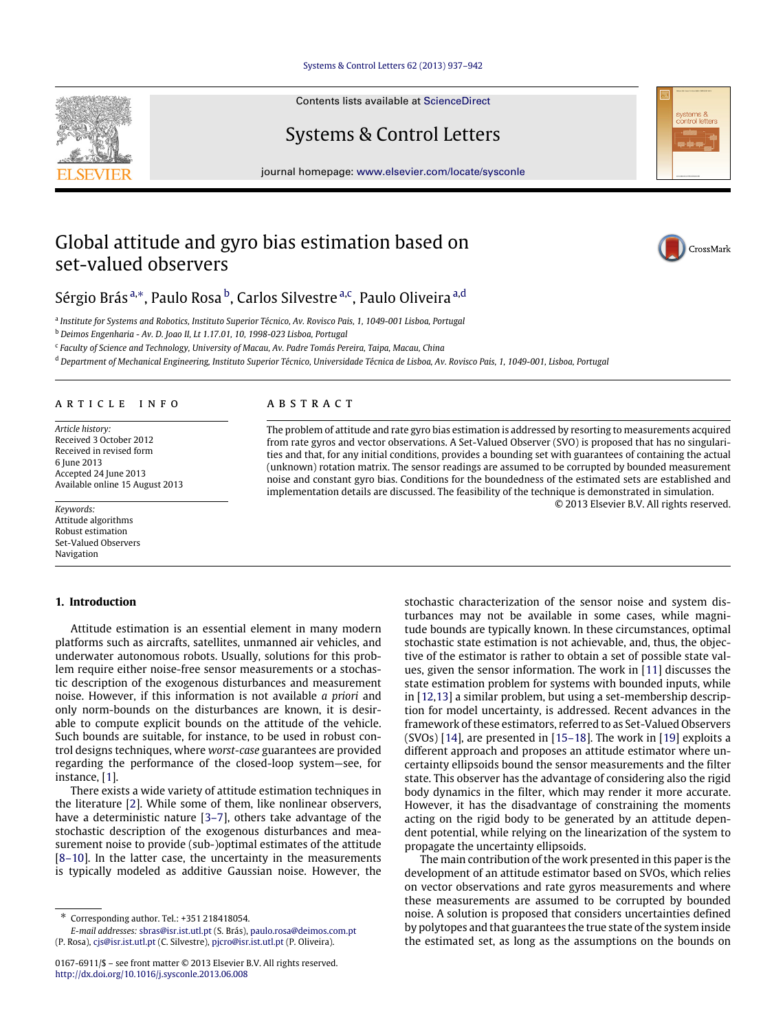[Systems & Control Letters 62 \(2013\) 937–942](http://dx.doi.org/10.1016/j.sysconle.2013.06.008)

Contents lists available at [ScienceDirect](http://www.elsevier.com/locate/sysconle)

Systems & Control Letters

journal homepage: [www.elsevier.com/locate/sysconle](http://www.elsevier.com/locate/sysconle)

# Global attitude and gyro bias estimation based on set-valued observers



<span id="page-0-0"></span>a *Institute for Systems and Robotics, Instituto Superior Técnico, Av. Rovisco Pais, 1, 1049-001 Lisboa, Portugal*

<span id="page-0-2"></span><sup>b</sup> *Deimos Engenharia - Av. D. Joao II, Lt 1.17.01, 10, 1998-023 Lisboa, Portugal*

<span id="page-0-3"></span>c *Faculty of Science and Technology, University of Macau, Av. Padre Tomás Pereira, Taipa, Macau, China*

<span id="page-0-4"></span><sup>d</sup> *Department of Mechanical Engineering, Instituto Superior Técnico, Universidade Técnica de Lisboa, Av. Rovisco Pais, 1, 1049-001, Lisboa, Portugal*

# a r t i c l e i n f o

*Article history:* Received 3 October 2012 Received in revised form 6 June 2013 Accepted 24 June 2013 Available online 15 August 2013

*Keywords:* Attitude algorithms Robust estimation Set-Valued Observers Navigation

# **1. Introduction**

Attitude estimation is an essential element in many modern platforms such as aircrafts, satellites, unmanned air vehicles, and underwater autonomous robots. Usually, solutions for this problem require either noise-free sensor measurements or a stochastic description of the exogenous disturbances and measurement noise. However, if this information is not available *a priori* and only norm-bounds on the disturbances are known, it is desirable to compute explicit bounds on the attitude of the vehicle. Such bounds are suitable, for instance, to be used in robust control designs techniques, where *worst-case* guarantees are provided regarding the performance of the closed-loop system—see, for instance, [\[1\]](#page-5-0).

There exists a wide variety of attitude estimation techniques in the literature [\[2\]](#page-5-1). While some of them, like nonlinear observers, have a deterministic nature [\[3–7\]](#page-5-2), others take advantage of the stochastic description of the exogenous disturbances and measurement noise to provide (sub-)optimal estimates of the attitude [\[8–10\]](#page-5-3). In the latter case, the uncertainty in the measurements is typically modeled as additive Gaussian noise. However, the

# A B S T R A C T

The problem of attitude and rate gyro bias estimation is addressed by resorting to measurements acquired from rate gyros and vector observations. A Set-Valued Observer (SVO) is proposed that has no singularities and that, for any initial conditions, provides a bounding set with guarantees of containing the actual (unknown) rotation matrix. The sensor readings are assumed to be corrupted by bounded measurement noise and constant gyro bias. Conditions for the boundedness of the estimated sets are established and implementation details are discussed. The feasibility of the technique is demonstrated in simulation. © 2013 Elsevier B.V. All rights reserved.

> stochastic characterization of the sensor noise and system disturbances may not be available in some cases, while magnitude bounds are typically known. In these circumstances, optimal stochastic state estimation is not achievable, and, thus, the objective of the estimator is rather to obtain a set of possible state values, given the sensor information. The work in [\[11\]](#page-5-4) discusses the state estimation problem for systems with bounded inputs, while in [\[12,](#page-5-5)[13\]](#page-5-6) a similar problem, but using a set-membership description for model uncertainty, is addressed. Recent advances in the framework of these estimators, referred to as Set-Valued Observers (SVOs) [\[14\]](#page-5-7), are presented in [\[15–18\]](#page-5-8). The work in [\[19\]](#page-5-9) exploits a different approach and proposes an attitude estimator where uncertainty ellipsoids bound the sensor measurements and the filter state. This observer has the advantage of considering also the rigid body dynamics in the filter, which may render it more accurate. However, it has the disadvantage of constraining the moments acting on the rigid body to be generated by an attitude dependent potential, while relying on the linearization of the system to propagate the uncertainty ellipsoids.

> The main contribution of the work presented in this paper is the development of an attitude estimator based on SVOs, which relies on vector observations and rate gyros measurements and where these measurements are assumed to be corrupted by bounded noise. A solution is proposed that considers uncertainties defined by polytopes and that guarantees the true state of the system inside the estimated set, as long as the assumptions on the bounds on





CrossMark

<span id="page-0-1"></span><sup>∗</sup> Corresponding author. Tel.: +351 218418054.

*E-mail addresses:* [sbras@isr.ist.utl.pt](mailto:sbras@isr.ist.utl.pt) (S. Brás), [paulo.rosa@deimos.com.pt](mailto:paulo.rosa@deimos.com.pt) (P. Rosa), [cjs@isr.ist.utl.pt](mailto:cjs@isr.ist.utl.pt) (C. Silvestre), [pjcro@isr.ist.utl.pt](mailto:pjcro@isr.ist.utl.pt) (P. Oliveira).

<sup>0167-6911/\$ –</sup> see front matter © 2013 Elsevier B.V. All rights reserved. <http://dx.doi.org/10.1016/j.sysconle.2013.06.008>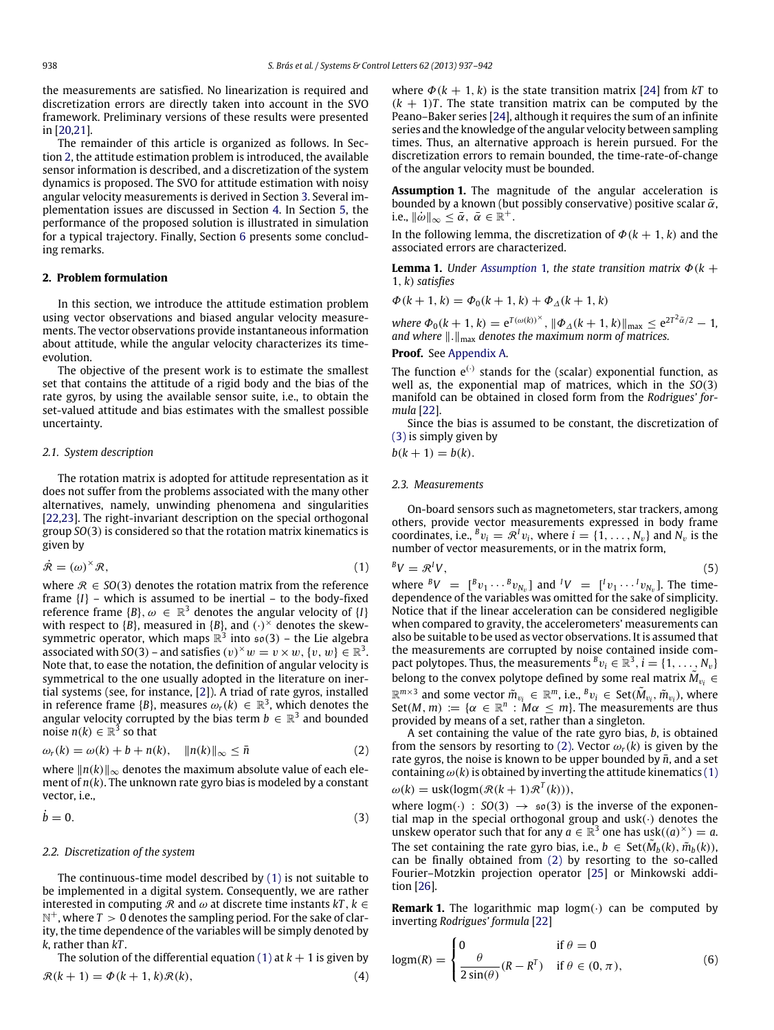the measurements are satisfied. No linearization is required and discretization errors are directly taken into account in the SVO framework. Preliminary versions of these results were presented in [\[20,](#page-5-10)[21\]](#page-5-11).

The remainder of this article is organized as follows. In Section [2,](#page-1-0) the attitude estimation problem is introduced, the available sensor information is described, and a discretization of the system dynamics is proposed. The SVO for attitude estimation with noisy angular velocity measurements is derived in Section [3.](#page-2-0) Several implementation issues are discussed in Section [4.](#page-3-0) In Section [5,](#page-3-1) the performance of the proposed solution is illustrated in simulation for a typical trajectory. Finally, Section [6](#page-4-0) presents some concluding remarks.

## <span id="page-1-0"></span>**2. Problem formulation**

In this section, we introduce the attitude estimation problem using vector observations and biased angular velocity measurements. The vector observations provide instantaneous information about attitude, while the angular velocity characterizes its timeevolution.

The objective of the present work is to estimate the smallest set that contains the attitude of a rigid body and the bias of the rate gyros, by using the available sensor suite, i.e., to obtain the set-valued attitude and bias estimates with the smallest possible uncertainty.

#### *2.1. System description*

The rotation matrix is adopted for attitude representation as it does not suffer from the problems associated with the many other alternatives, namely, unwinding phenomena and singularities [\[22](#page-5-12)[,23\]](#page-5-13). The right-invariant description on the special orthogonal group *SO*(3) is considered so that the rotation matrix kinematics is given by

$$
\dot{\mathcal{R}} = (\omega)^{\times} \mathcal{R},\tag{1}
$$

where  $\mathcal{R} \in SO(3)$  denotes the rotation matrix from the reference frame  ${I}$  – which is assumed to be inertial – to the body-fixed reference frame  $\{B\}$ ,  $\omega \in \mathbb{R}^3$  denotes the angular velocity of  $\{I\}$ with respect to  $\{B\}$ , measured in  $\{B\}$ , and  $\left(\cdot\right)^\times$  denotes the skewsymmetric operator, which maps  $\mathbb{R}^3$  into  $\mathfrak{so}(3)$  – the Lie algebra associated with *SO*(3) – and satisfies  $(v)^{\times}w = v \times w, \{v, w\} \in \mathbb{R}^3$ . Note that, to ease the notation, the definition of angular velocity is symmetrical to the one usually adopted in the literature on inertial systems (see, for instance, [\[2\]](#page-5-1)). A triad of rate gyros, installed in reference frame {B}, measures  $\omega_r(k) \in \mathbb{R}^3$ , which denotes the angular velocity corrupted by the bias term  $b \in \mathbb{R}^3$  and bounded noise  $n(k) \in \mathbb{R}^3$  so that

$$
\omega_r(k) = \omega(k) + b + n(k), \quad ||n(k)||_{\infty} \le \bar{n}
$$
 (2)

where ∥*n*(*k*)∥<sup>∞</sup> denotes the maximum absolute value of each element of *n*(*k*). The unknown rate gyro bias is modeled by a constant vector, i.e.,

$$
\dot{b} = 0.\t\t(3)
$$

#### *2.2. Discretization of the system*

The continuous-time model described by [\(1\)](#page-1-1) is not suitable to be implemented in a digital system. Consequently, we are rather interested in computing  $\Re$  and  $\omega$  at discrete time instants  $kT$ ,  $k \in$  $\mathbb{N}^+$ , where  $T>0$  denotes the sampling period. For the sake of clarity, the time dependence of the variables will be simply denoted by *k*, rather than *kT* .

The solution of the differential equation [\(1\)](#page-1-1) at  $k + 1$  is given by  $R(k+1) = \Phi(k+1, k)R(k)$ 

$$
R(k+1) = \Phi(k+1, k) \mathcal{R}(k), \tag{4}
$$

where  $\Phi(k + 1, k)$  is the state transition matrix [\[24\]](#page-5-14) from  $kT$  to  $(k + 1)T$ . The state transition matrix can be computed by the Peano–Baker series [\[24\]](#page-5-14), although it requires the sum of an infinite series and the knowledge of the angular velocity between sampling times. Thus, an alternative approach is herein pursued. For the discretization errors to remain bounded, the time-rate-of-change of the angular velocity must be bounded.

<span id="page-1-2"></span>**Assumption 1.** The magnitude of the angular acceleration is bounded by a known (but possibly conservative) positive scalar  $\bar{\alpha}$ , i.e.,  $\|\dot{\omega}\|_{\infty} \leq \bar{\alpha}, \ \bar{\alpha} \in \mathbb{R}^+$ .

In the following lemma, the discretization of  $\Phi(k + 1, k)$  and the associated errors are characterized.

<span id="page-1-7"></span>**Lemma 1.** *Under [Assumption](#page-1-2)* 1, *the state transition matrix*  $\Phi$ ( $k +$ 1, *k*) *satisfies*

 $\Phi(k+1, k) = \Phi_0(k+1, k) + \Phi_{\Lambda}(k+1, k)$ 

 $where \ \Phi_0(k+1, k) = e^{T(\omega(k))^\times}, \ \|\Phi_{\Delta}(k+1, k)\|_{\max} \leq e^{2T^2\bar{\alpha}/2} - 1,$ *and where* ∥.∥max *denotes the maximum norm of matrices.*

#### **Proof.** See [Appendix A.](#page-4-1)

The function  $e^{(\cdot)}$  stands for the (scalar) exponential function, as well as, the exponential map of matrices, which in the *SO*(3) manifold can be obtained in closed form from the *Rodrigues' formula* [\[22\]](#page-5-12).

Since the bias is assumed to be constant, the discretization of [\(3\)](#page-1-3) is simply given by

 $b(k + 1) = b(k)$ .

#### *2.3. Measurements*

On-board sensors such as magnetometers, star trackers, among others, provide vector measurements expressed in body frame coordinates, i.e.,  ${}^Bv_i = \mathcal{R}^Iv_i$ , where  $i = \{1, \ldots, N_v\}$  and  $N_v$  is the number of vector measurements, or in the matrix form,

<span id="page-1-1"></span>
$$
{}^{B}V = \mathcal{R}^{I}V, \tag{5}
$$

where  ${}^{B}V = [{}^{B}v_1 \cdots {}^{B}v_{N_v}]$  and  ${}^{I}V = [{}^{I}v_1 \cdots {}^{I}v_{N_v}]$ . The timedependence of the variables was omitted for the sake of simplicity. Notice that if the linear acceleration can be considered negligible when compared to gravity, the accelerometers' measurements can also be suitable to be used as vector observations. It is assumed that the measurements are corrupted by noise contained inside compact polytopes. Thus, the measurements  $^B v_i \in \mathbb{R}^3$ ,  $i = \{1, \ldots, N_v\}$ belong to the convex polytope defined by some real matrix  $\tilde{M}_{v_i}$   $\in$  $\mathbb{R}^{m \times 3}$  and some vector  $\tilde{m}_{v_i} \in \mathbb{R}^m$ , i.e.,  $^B v_i \in \mathcal{S}et(\tilde{M}_{v_i}, \tilde{m}_{v_i})$ , where Set(*M*, *m*) := { $\alpha \in \mathbb{R}^n$  :  $M\alpha \leq m$ }. The measurements are thus provided by means of a set, rather than a singleton.

<span id="page-1-4"></span>A set containing the value of the rate gyro bias, *b*, is obtained from the sensors by resorting to [\(2\).](#page-1-4) Vector  $\omega_r(k)$  is given by the rate gyros, the noise is known to be upper bounded by  $\bar{n}$ , and a set containing  $\omega(k)$  is obtained by inverting the attitude kinematics [\(1\)](#page-1-1)  $\omega(k) = \text{usk}(\text{logm}(\mathcal{R}(k+1)\mathcal{R}^T(k))),$ 

$$
\omega(\kappa) = \max(\log \mu(\nu(\kappa + 1))\kappa(\kappa))
$$

<span id="page-1-3"></span>where  $\text{logm}(\cdot) : SO(3) \rightarrow so(3)$  is the inverse of the exponential map in the special orthogonal group and  $usk(\cdot)$  denotes the unskew operator such that for any  $\alpha \in \mathbb{R}^3$  one has  $usk((a)^{\times}) = a$ . The set containing the rate gyro bias, i.e.,  $b \in \text{Set}(\tilde{M}_b(k), \tilde{m}_b(k))$ , can be finally obtained from [\(2\)](#page-1-4) by resorting to the so-called Fourier–Motzkin projection operator [\[25\]](#page-5-15) or Minkowski addition [\[26\]](#page-5-16).

**Remark 1.** The logarithmic map  $logm(\cdot)$  can be computed by inverting *Rodrigues' formula* [\[22\]](#page-5-12)

<span id="page-1-6"></span><span id="page-1-5"></span>
$$
logm(R) = \begin{cases} 0 & \text{if } \theta = 0\\ \frac{\theta}{2\sin(\theta)}(R - R^{T}) & \text{if } \theta \in (0, \pi), \end{cases}
$$
(6)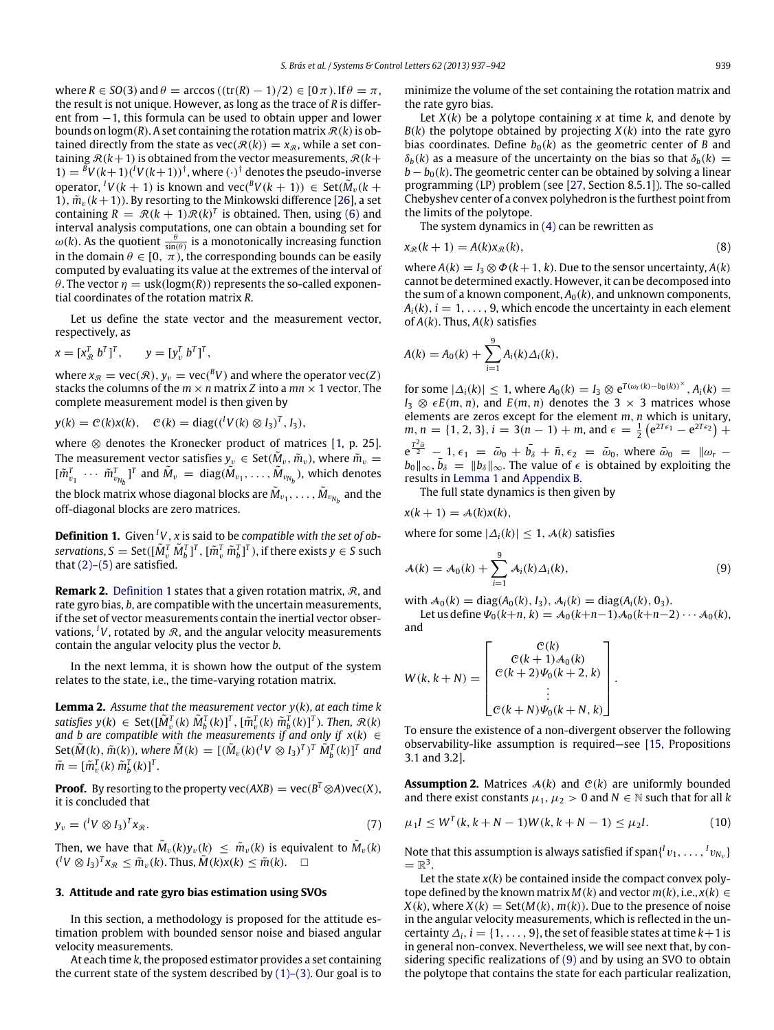where  $R \in SO(3)$  and  $\theta = \arccos((\text{tr}(R) - 1)/2) \in [0 \pi)$ . If  $\theta = \pi$ , the result is not unique. However, as long as the trace of *R* is different from −1, this formula can be used to obtain upper and lower bounds on  $\log(m(R))$ . A set containing the rotation matrix  $\mathcal{R}(k)$  is obtained directly from the state as  $\text{vec}(\mathcal{R}(k)) = x_{\mathcal{R}}$ , while a set containing  $R(k+1)$  is obtained from the vector measurements,  $R(k+1)$  $1) = {}^{B}V(k+1)({}^{I}V(k+1))$ <sup>†</sup>, where  $(\cdot)$ <sup>†</sup> denotes the pseudo-inverse  $\operatorname{operator} \rho^I V(k+1)$  is known and  $\operatorname{vec}({}^B V(k+1)) \in \operatorname{Set}(\tilde{M}_v(k+1))$ 1),  $\tilde{m}_v(k+1)$ ). By resorting to the Minkowski difference [\[26\]](#page-5-16), a set containing  $R = \mathcal{R}(k+1)\mathcal{R}(k)^T$  is obtained. Then, using [\(6\)](#page-1-5) and interval analysis computations, one can obtain a bounding set for  $\omega(k)$ . As the quotient  $\frac{\theta}{\sin(\theta)}$  is a monotonically increasing function in the domain  $\theta \in [0, \pi)$ , the corresponding bounds can be easily computed by evaluating its value at the extremes of the interval of  $\theta$ . The vector  $\eta = \text{usk}(\text{logm}(R))$  represents the so-called exponential coordinates of the rotation matrix *R*.

Let us define the state vector and the measurement vector, respectively, as

$$
x = [x_{\mathcal{R}}^T \ b^T]^T, \qquad y = [y_{\mathcal{V}}^T \ b^T]^T,
$$

where  $x_{\mathcal{R}} = \text{vec}(\mathcal{R}), y_v = \text{vec}({}^B V)$  and where the operator  $\text{vec}(Z)$ stacks the columns of the  $m \times n$  matrix *Z* into a  $mn \times 1$  vector. The complete measurement model is then given by

$$
y(k) = \mathcal{C}(k)x(k), \quad \mathcal{C}(k) = \text{diag}(({}^{l}V(k) \otimes I_3)^{T}, I_3),
$$

where  $\otimes$  denotes the Kronecker product of matrices [\[1,](#page-5-0) p. 25]. The measurement vector satisfies  $y_v \in \text{Set}(\tilde{M}_v, \tilde{m}_v)$ , where  $\tilde{m}_v =$  $[\tilde{m}_{v_1}^T \cdots \tilde{m}_{v_{N_b}}^T]^T$  and  $\tilde{M}_v = \text{diag}(\tilde{M}_{v_1}, \ldots, \tilde{M}_{v_{N_b}})$ , which denotes the block matrix whose diagonal blocks are  $\tilde{M}_{v_1}, \ldots, \tilde{M}_{v_{N_b}}$  and the off-diagonal blocks are zero matrices.

<span id="page-2-1"></span>**Definition 1.** Given *<sup>I</sup>V*, *x* is said to be *compatible with the set of ob* $s$ ervations,  $S = \text{Set}([\tilde{M}_{v}^{T} \tilde{M}_{b}^{T}]^{T}$ ,  $[\tilde{m}_{v}^{T} \tilde{m}_{b}^{T}]^{T}$ ), if there exists  $y \in S$  such that  $(2)$ – $(5)$  are satisfied.

**Remark 2.** [Definition 1](#page-2-1) states that a given rotation matrix, R, and rate gyro bias, *b*, are compatible with the uncertain measurements, if the set of vector measurements contain the inertial vector observations, <sup>*I*</sup>*V*, rotated by  $\Re$ , and the angular velocity measurements contain the angular velocity plus the vector *b*.

In the next lemma, it is shown how the output of the system relates to the state, i.e., the time-varying rotation matrix.

**Lemma 2.** *Assume that the measurement vector y*(*k*)*, at each time k* satisfies  $y(k) \in \text{Set}([\tilde{M}_{v}^{T}(k) \tilde{M}_{b}^{T}(k)]^{T}$ ,  $[\tilde{m}_{v}^{T}(k) \tilde{m}_{b}^{T}(k)]^{T}$ ). Then,  $\mathcal{R}(k)$ *and b are compatible with the measurements if and only if*  $x(k) \in$  $\text{Set}(\tilde{M}(k), \tilde{m}(k))$ , where  $\tilde{M}(k) = [(\tilde{M}_{v}(k)(^l V \otimes I_3)^T)^T \tilde{M}_{b}^T(k)]^T$  and  $\tilde{m} = [\tilde{m}_v^T(k) \tilde{m}_b^T(k)]^T$ .

**Proof.** By resorting to the property vec( $AXB$ ) = vec( $B^T \otimes A$ )vec( $X$ ), it is concluded that

$$
y_v = ({}^l V \otimes I_3)^T x_{\mathcal{R}}.
$$
\n<sup>(7)</sup>

Then, we have that  $\tilde{M}_v(k)y_v(k)~\leq~\tilde{m}_v(k)$  is equivalent to  $\tilde{M}_v(k)$  $({}^{l}V \otimes I_3)^T x_{\mathcal{R}} \leq \tilde{m}_v(k)$ . Thus,  $\tilde{M}(k)x(k) \leq \tilde{m}(k)$ .  $\square$ 

## <span id="page-2-0"></span>**3. Attitude and rate gyro bias estimation using SVOs**

In this section, a methodology is proposed for the attitude estimation problem with bounded sensor noise and biased angular velocity measurements.

At each time *k*, the proposed estimator provides a set containing the current state of the system described by  $(1)$ – $(3)$ . Our goal is to minimize the volume of the set containing the rotation matrix and the rate gyro bias.

Let  $X(k)$  be a polytope containing  $x$  at time  $k$ , and denote by  $B(k)$  the polytope obtained by projecting  $X(k)$  into the rate gyro bias coordinates. Define  $b_0(k)$  as the geometric center of *B* and  $\delta_b(k)$  as a measure of the uncertainty on the bias so that  $\delta_b(k)$  =  $b - b_0(k)$ . The geometric center can be obtained by solving a linear programming (LP) problem (see [\[27,](#page-5-17) Section 8.5.1]). The so-called Chebyshev center of a convex polyhedron is the furthest point from the limits of the polytope.

<span id="page-2-6"></span>The system dynamics in [\(4\)](#page-1-6) can be rewritten as

$$
x_{\mathcal{R}}(k+1) = A(k)x_{\mathcal{R}}(k),\tag{8}
$$

where  $A(k) = I_3 \otimes \Phi(k+1, k)$ . Due to the sensor uncertainty,  $A(k)$ cannot be determined exactly. However, it can be decomposed into the sum of a known component,  $A_0(k)$ , and unknown components,  $A_i(k)$ ,  $i = 1, \ldots, 9$ , which encode the uncertainty in each element of *A*(*k*). Thus, *A*(*k*) satisfies

$$
A(k) = A_0(k) + \sum_{i=1}^{9} A_i(k) \Delta_i(k),
$$

for some  $|\Delta_i(k)| \leq 1$ , where  $A_0(k) = I_3 \otimes e^{T(\omega_r(k) - b_0(k))^\times}$ ,  $A_i(k) =$  $I_3 \otimes \epsilon E(m, n)$ , and  $E(m, n)$  denotes the 3 × 3 matrices whose elements are zeros except for the element *m*, *n* which is unitary,  $m, n = \{1, 2, 3\}, i = 3(n - 1) + m$ , and  $\epsilon = \frac{1}{2} (e^{27\epsilon_1} - e^{27\epsilon_2}) +$  $e^{\frac{T^2 \tilde{\omega}}{2}} - 1$ ,  $\epsilon_1 = \bar{\omega}_0 + \bar{b_s} + \bar{n}$ ,  $\epsilon_2 = \bar{\omega}_0$ , where  $\bar{\omega}_0 = ||\omega_r - \omega_0||$  $b_0$ ∥<sub>∞</sub>,  $\bar{b}_\delta = \|b_\delta\|_\infty$ . The value of  $\epsilon$  is obtained by exploiting the results in [Lemma 1](#page-1-7) and [Appendix B.](#page-4-2)

<span id="page-2-2"></span>The full state dynamics is then given by

$$
x(k+1) = A(k)x(k),
$$

where for some  $|\Delta_i(k)| \leq 1$ ,  $\mathcal{A}(k)$  satisfies

$$
\mathcal{A}(k) = \mathcal{A}_0(k) + \sum_{i=1}^9 \mathcal{A}_i(k) \Delta_i(k), \tag{9}
$$

with  $A_0(k) = diag(A_0(k), I_3)$ ,  $A_i(k) = diag(A_i(k), 0_3)$ .

Let us define  $\Psi_0(k+n, k) = A_0(k+n-1)A_0(k+n-2)\cdots A_0(k)$ , and

$$
W(k, k+N) = \begin{bmatrix} C(k) \\ C(k+1)A_0(k) \\ C(k+2)\Psi_0(k+2, k) \\ \vdots \\ C(k+N)\Psi_0(k+N, k) \end{bmatrix}.
$$

To ensure the existence of a non-divergent observer the following observability-like assumption is required—see [\[15,](#page-5-8) Propositions 3.1 and 3.2].

<span id="page-2-4"></span><span id="page-2-3"></span>**Assumption 2.** Matrices  $A(k)$  and  $C(k)$  are uniformly bounded and there exist constants  $\mu_1, \mu_2 > 0$  and  $N \in \mathbb{N}$  such that for all *k* 

<span id="page-2-5"></span>
$$
\mu_1 I \le W^T(k, k+N-1)W(k, k+N-1) \le \mu_2 I. \tag{10}
$$

Note that this assumption is always satisfied if  $\text{span}\{\left\{v_1,\ldots,\left\{v_{N_v}\right\}\right\}$  $= \mathbb{R}^3$ .

Let the state  $x(k)$  be contained inside the compact convex polytope defined by the known matrix  $M(k)$  and vector  $m(k)$ , i.e.,  $x(k) \in$  $X(k)$ , where  $X(k) = \text{Set}(M(k), m(k))$ . Due to the presence of noise in the angular velocity measurements, which is reflected in the uncertainty  $\Delta_i$ ,  $i = \{1, \ldots, 9\}$ , the set of feasible states at time  $k+1$  is in general non-convex. Nevertheless, we will see next that, by considering specific realizations of [\(9\)](#page-2-2) and by using an SVO to obtain the polytope that contains the state for each particular realization,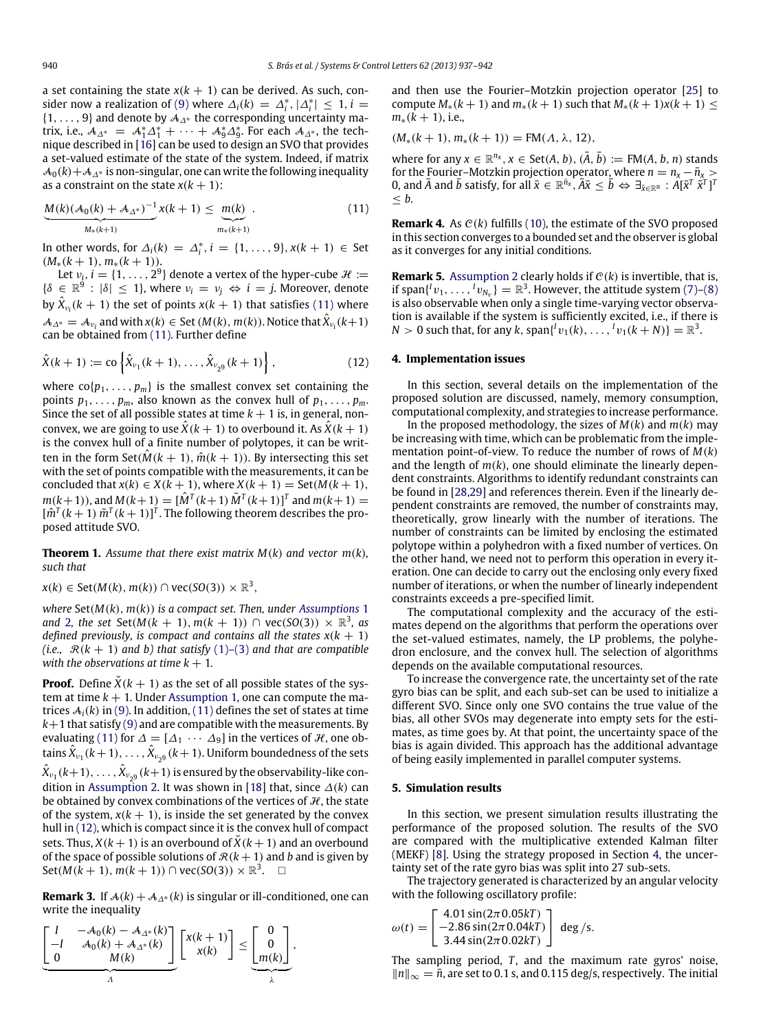a set containing the state  $x(k + 1)$  can be derived. As such, con-sider now a realization of [\(9\)](#page-2-2) where  $\Delta_i(k) = \Delta_i^*$ ,  $|\Delta_i^*| \leq 1$ , *i* =  $\{1, \ldots, 9\}$  and denote by  $\mathcal{A}_{\Lambda^*}$  the corresponding uncertainty matrix, i.e.,  $A_{\Delta^*} = A_1^* \Delta_1^* + \cdots + A_9^* \Delta_9^*$ . For each  $A_{\Delta^*}$ , the technique described in [\[16\]](#page-5-18) can be used to design an SVO that provides a set-valued estimate of the state of the system. Indeed, if matrix  $\mathcal{A}_0(k)+\mathcal{A}_{\Lambda^*}$  is non-singular, one can write the following inequality as a constraint on the state  $x(k + 1)$ :

$$
\underbrace{M(k)(A_0(k) + A_{\Delta^*})^{-1}}_{M_*(k+1)} x(k+1) \leq \underbrace{m(k)}_{m_*(k+1)}.
$$
\n(11)

In other words, for  $\Delta_i(k) = \Delta_i^*, i = \{1, ..., 9\}, x(k + 1) \in$  Set (*M*∗(*k* + 1), *m*∗(*k* + 1)).

Let  $v_i$ ,  $i = \{1, \ldots, 2^9\}$  denote a vertex of the hyper-cube  $\mathcal{H} :=$  $\{\delta \in \mathbb{R}^9 : |\delta| \leq 1\}$ , where  $\nu_i = \nu_j \Leftrightarrow i = j$ . Moreover, denote by  $\hat{X}_{\nu_i}(k+1)$  the set of points  $x(k+1)$  that satisfies [\(11\)](#page-3-2) where  $\mathcal{A}_{\Delta^*} = \mathcal{A}_{\nu_i}$  and with  $x(k) \in$  Set ( $M(k)$ ,  $m(k)$ ). Notice that  $\hat{X}_{\nu_i}(k+1)$ can be obtained from [\(11\).](#page-3-2) Further define

$$
\hat{X}(k+1) := \text{co}\left\{\hat{X}_{\nu_1}(k+1), \dots, \hat{X}_{\nu_{29}}(k+1)\right\},\tag{12}
$$

where  $co{p_1, \ldots, p_m}$  is the smallest convex set containing the points  $p_1, \ldots, p_m$ , also known as the convex hull of  $p_1, \ldots, p_m$ . Since the set of all possible states at time  $k + 1$  is, in general, nonconvex, we are going to use  $\hat{X}(k + 1)$  to overbound it. As  $\hat{X}(k + 1)$ is the convex hull of a finite number of polytopes, it can be written in the form  $\text{Set}(\hat{M}(k + 1), \hat{m}(k + 1))$ . By intersecting this set with the set of points compatible with the measurements, it can be concluded that  $x(k) \in X(k + 1)$ , where  $X(k + 1) = \text{Set}(M(k + 1))$ , *m*(*k*+1)), and *M*(*k*+1) =  $[\hat{M}^T(k+1)\tilde{M}^T(k+1)]^T$  and  $m(k+1)$  =  $[\hat{m}^T(k+1)\tilde{m}^T(k+1)]^T$ . The following theorem describes the proposed attitude SVO.

**Theorem 1.** Assume that there exist matrix  $M(k)$  and vector  $m(k)$ , *such that*

$$
x(k) \in \text{Set}(M(k), m(k)) \cap \text{vec}(\text{SO}(3)) \times \mathbb{R}^3,
$$

*where* Set(*M*(*k*), *m*(*k*)) *is a compact set. Then, under [Assumptions](#page-1-2)* 1 and [2](#page-2-3), the set  $Set(M(k + 1), m(k + 1)) \cap vec(SO(3)) \times \mathbb{R}^3$ , as *defined previously, is compact and contains all the states*  $x(k + 1)$ *(i.e.,*  $\mathcal{R}(k + 1)$  *and b) that satisfy* [\(1\)–\(3\)](#page-1-1) *and that are compatible with the observations at time*  $k + 1$ *.* 

**Proof.** Define  $\dot{X}(k+1)$  as the set of all possible states of the system at time  $k + 1$ . Under [Assumption 1,](#page-1-2) one can compute the matrices  $A_i(k)$  in [\(9\).](#page-2-2) In addition, [\(11\)](#page-3-2) defines the set of states at time  $k+1$  that satisfy [\(9\)](#page-2-2) and are compatible with the measurements. By evaluating [\(11\)](#page-3-2) for  $\Delta = [\Delta_1 \cdots \Delta_9]$  in the vertices of  $\mathcal{H}$ , one obtains  $\hat{X}_{\nu_1}$  ( $k+1$ ), . . . . ,  $\hat{X}_{\nu_29}$  ( $k+1$ ). Uniform boundedness of the sets  $\hat{X}_{\nu_1}(k+1),\ldots,\hat{X}_{\nu_{2^9}}(k+1)$  is ensured by the observability-like condition in [Assumption 2.](#page-2-3) It was shown in [\[18\]](#page-5-19) that, since ∆(*k*) can be obtained by convex combinations of the vertices of  $H$ , the state of the system,  $x(k + 1)$ , is inside the set generated by the convex hull in [\(12\),](#page-3-3) which is compact since it is the convex hull of compact sets. Thus,  $X(k + 1)$  is an overbound of  $\check{X}(k + 1)$  and an overbound of the space of possible solutions of  $R(k + 1)$  and *b* and is given by  $Set(M(k + 1), m(k + 1))$  ∩ vec(*SO*(3)) ×  $\mathbb{R}^3$ . □

**Remark 3.** If  $A(k) + A_{\Delta^*}(k)$  is singular or ill-conditioned, one can write the inequality

$$
\underbrace{\begin{bmatrix} I & -\mathcal{A}_0(k) - \mathcal{A}_{\Delta^*}(k) \\ -I & \mathcal{A}_0(k) + \mathcal{A}_{\Delta^*}(k) \\ 0 & M(k) \end{bmatrix}}_{\Lambda} \underbrace{\begin{bmatrix} x(k+1) \\ x(k) \end{bmatrix}}_{\lambda} \leq \underbrace{\begin{bmatrix} 0 \\ 0 \\ m(k) \end{bmatrix}}_{\lambda},
$$

and then use the Fourier–Motzkin projection operator [\[25\]](#page-5-15) to compute  $M_*(k+1)$  and  $m_*(k+1)$  such that  $M_*(k+1)x(k+1)$  <  $m_*(k + 1)$ , i.e.,

 $(M_*(k+1), m_*(k+1)) = FM(\Lambda, \lambda, 12),$ 

where for any  $x \in \mathbb{R}^{n_x}$ ,  $x \in \text{Set}(A, b)$ ,  $(\overline{A}, \overline{b}) := \text{FM}(A, b, n)$  stands for the Fourier–Motzkin projection operator, where  $n = n_x - \bar{n}_x >$ 0, and  $\overline{A}$  and  $\overline{b}$  satisfy, for all  $\overline{x} \in \mathbb{R}^{\overline{n_x}}, \overline{A} \overline{x} \leq \overline{b} \Leftrightarrow \exists_{\overline{x} \in \mathbb{R}^n} : \hat{A} [\overline{x}^T \ \hat{x}^T]^T$ ≤ *b*.

<span id="page-3-2"></span>**Remark 4.** As  $C(k)$  fulfills [\(10\),](#page-2-4) the estimate of the SVO proposed in this section converges to a bounded set and the observer is global as it converges for any initial conditions.

**Remark 5.** [Assumption 2](#page-2-3) clearly holds if  $C(k)$  is invertible, that is, if span $\{V_1, \ldots, V_{N_v}\} = \mathbb{R}^3$ . However, the attitude system [\(7\)–](#page-2-5)[\(8\)](#page-2-6) is also observable when only a single time-varying vector observation is available if the system is sufficiently excited, i.e., if there is *N* > 0 such that, for any *k*,  $\text{span}\{ {}^{l}v_{1}(k), \ldots, {}^{l}v_{1}(k+N) \} = \mathbb{R}^{3}$ .

#### <span id="page-3-3"></span><span id="page-3-0"></span>**4. Implementation issues**

In this section, several details on the implementation of the proposed solution are discussed, namely, memory consumption, computational complexity, and strategies to increase performance.

In the proposed methodology, the sizes of  $M(k)$  and  $m(k)$  may be increasing with time, which can be problematic from the implementation point-of-view. To reduce the number of rows of *M*(*k*) and the length of  $m(k)$ , one should eliminate the linearly dependent constraints. Algorithms to identify redundant constraints can be found in [\[28,](#page-5-20)[29\]](#page-5-21) and references therein. Even if the linearly dependent constraints are removed, the number of constraints may, theoretically, grow linearly with the number of iterations. The number of constraints can be limited by enclosing the estimated polytope within a polyhedron with a fixed number of vertices. On the other hand, we need not to perform this operation in every iteration. One can decide to carry out the enclosing only every fixed number of iterations, or when the number of linearly independent constraints exceeds a pre-specified limit.

The computational complexity and the accuracy of the estimates depend on the algorithms that perform the operations over the set-valued estimates, namely, the LP problems, the polyhedron enclosure, and the convex hull. The selection of algorithms depends on the available computational resources.

To increase the convergence rate, the uncertainty set of the rate gyro bias can be split, and each sub-set can be used to initialize a different SVO. Since only one SVO contains the true value of the bias, all other SVOs may degenerate into empty sets for the estimates, as time goes by. At that point, the uncertainty space of the bias is again divided. This approach has the additional advantage of being easily implemented in parallel computer systems.

# <span id="page-3-1"></span>**5. Simulation results**

In this section, we present simulation results illustrating the performance of the proposed solution. The results of the SVO are compared with the multiplicative extended Kalman filter (MEKF) [\[8\]](#page-5-3). Using the strategy proposed in Section [4,](#page-3-0) the uncertainty set of the rate gyro bias was split into 27 sub-sets.

The trajectory generated is characterized by an angular velocity with the following oscillatory profile:

$$
\omega(t) = \begin{bmatrix} 4.01 \sin(2\pi 0.05kT) \\ -2.86 \sin(2\pi 0.04kT) \\ 3.44 \sin(2\pi 0.02kT) \end{bmatrix} \text{ deg } / \text{s}.
$$

The sampling period, *T*, and the maximum rate gyros' noise, ∥*n*∥<sup>∞</sup> = *n*¯, are set to 0.1 s, and 0.115 deg/s, respectively. The initial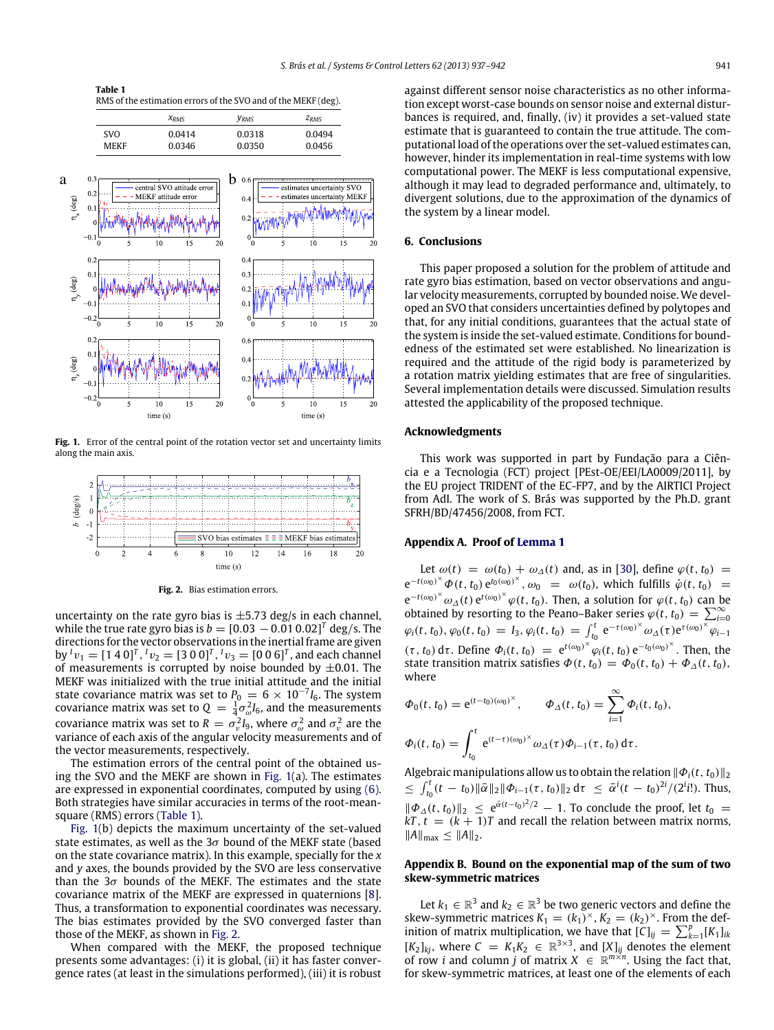<span id="page-4-4"></span>**Table 1** RMS of the estimation errors of the SVO and of the MEKF (deg).

|            | $X_{RMS}$ | <b><i>YRMS</i></b> | $Z_{RMS}$ |
|------------|-----------|--------------------|-----------|
| <b>SVO</b> | 0.0414    | 0.0318             | 0.0494    |
| MFKF       | 0.0346    | 0.0350             | 0.0456    |

<span id="page-4-3"></span>

Fig. 1. Error of the central point of the rotation vector set and uncertainty limits along the main axis.

<span id="page-4-5"></span>

**Fig. 2.** Bias estimation errors.

uncertainty on the rate gyro bias is  $\pm$ 5.73 deg/s in each channel, while the true rate gyro bias is  $b=[0.03\,-0.01\,0.02]^{T}$  deg/s. The directions for the vector observations in the inertial frame are given by  ${}^{I}v_{1} = [1\ 4\ 0]^{T}$ ,  ${}^{I}v_{2} = [3\ 0\ 0]^{T}$ ,  ${}^{I}v_{3} = [0\ 0\ 6]^{T}$ , and each channel of measurements is corrupted by noise bounded by  $\pm 0.01$ . The MEKF was initialized with the true initial attitude and the initial state covariance matrix was set to  $P_0 = 6 \times 10^{-7} I_6$ . The system covariance matrix was set to  $Q = \frac{1}{4} \sigma_{\omega}^2 I_6$ , and the measurements covariance matrix was set to  $R = \sigma_v^2 I_9$ , where  $\sigma_\omega^2$  and  $\sigma_v^2$  are the variance of each axis of the angular velocity measurements and of the vector measurements, respectively.

The estimation errors of the central point of the obtained using the SVO and the MEKF are shown in [Fig. 1\(](#page-4-3)a). The estimates are expressed in exponential coordinates, computed by using [\(6\).](#page-1-5) Both strategies have similar accuracies in terms of the root-meansquare (RMS) errors [\(Table 1\)](#page-4-4).

[Fig. 1\(](#page-4-3)b) depicts the maximum uncertainty of the set-valued state estimates, as well as the  $3\sigma$  bound of the MEKF state (based on the state covariance matrix). In this example, specially for the *x* and *y* axes, the bounds provided by the SVO are less conservative than the  $3\sigma$  bounds of the MEKF. The estimates and the state covariance matrix of the MEKF are expressed in quaternions [\[8\]](#page-5-3). Thus, a transformation to exponential coordinates was necessary. The bias estimates provided by the SVO converged faster than those of the MEKF, as shown in [Fig. 2.](#page-4-5)

When compared with the MEKF, the proposed technique presents some advantages: (i) it is global, (ii) it has faster convergence rates (at least in the simulations performed), (iii) it is robust against different sensor noise characteristics as no other information except worst-case bounds on sensor noise and external disturbances is required, and, finally, (iv) it provides a set-valued state estimate that is guaranteed to contain the true attitude. The computational load of the operations over the set-valued estimates can, however, hinder its implementation in real-time systems with low computational power. The MEKF is less computational expensive, although it may lead to degraded performance and, ultimately, to divergent solutions, due to the approximation of the dynamics of the system by a linear model.

# <span id="page-4-0"></span>**6. Conclusions**

This paper proposed a solution for the problem of attitude and rate gyro bias estimation, based on vector observations and angular velocity measurements, corrupted by bounded noise. We developed an SVO that considers uncertainties defined by polytopes and that, for any initial conditions, guarantees that the actual state of the system is inside the set-valued estimate. Conditions for boundedness of the estimated set were established. No linearization is required and the attitude of the rigid body is parameterized by a rotation matrix yielding estimates that are free of singularities. Several implementation details were discussed. Simulation results attested the applicability of the proposed technique.

### **Acknowledgments**

This work was supported in part by Fundação para a Ciência e a Tecnologia (FCT) project [PEst-OE/EEI/LA0009/2011], by the EU project TRIDENT of the EC-FP7, and by the AIRTICI Project from AdI. The work of S. Brás was supported by the Ph.D. grant SFRH/BD/47456/2008, from FCT.

#### <span id="page-4-1"></span>**Appendix A. Proof of [Lemma 1](#page-1-7)**

Let  $\omega(t) = \omega(t_0) + \omega_{\Delta}(t)$  and, as in [\[30\]](#page-5-22), define  $\varphi(t, t_0)$  =  $e^{-t(\omega_0)^{\chi}} \Phi(t, t_0) e^{t_0(\omega_0)^{\chi}}, \omega_0 = \omega(t_0)$ , which fulfills  $\dot{\varphi}(t, t_0) =$  $e^{-t(\omega_0)^{\times}} \omega_{\Delta}(t) e^{t(\omega_0)^{\times}} \varphi(t, t_0)$ . Then, a solution for  $\varphi(t, t_0)$  can be obtained by resorting to the Peano-Baker series  $\varphi(t, t_0) = \sum_{i=0}^{\infty} \varphi_i(t, t_0), \varphi_0(t, t_0) = I_3, \varphi_i(t, t_0) = \int_{t_0}^t e^{-\tau(\omega_0)^{\times} \omega_{\Delta}(\tau) e^{\tau(\omega_0)^{\times}} \varphi_{i-1}}$  $(\tau, t_0)$  d $\tau$ . Define  $\Phi_i(t, t_0) = e^{t(\omega_0)^{\times}} \varphi_i(t, t_0) e^{-t_0(\omega_0)^{\times}}$ . Then, then state transition matrix satisfies  $\Phi(t, t_0) = \Phi_0(t, t_0) + \Phi_{\Delta}(t, t_0)$ , where

$$
\Phi_0(t, t_0) = e^{(t-t_0)(\omega_0)^{\times}}, \qquad \Phi_{\Delta}(t, t_0) = \sum_{i=1}^{\infty} \Phi_i(t, t_0),
$$
  

$$
\Phi_i(t, t_0) = \int_{t_0}^t e^{(t-\tau)(\omega_0)^{\times}} \omega_{\Delta}(\tau) \Phi_{i-1}(\tau, t_0) d\tau.
$$

Algebraic manipulations allow us to obtain the relation  $\|\Phi_i(t, t_0)\|_2$  $\leq \int_{t_0}^t (t - t_0) \|\bar{\alpha}\|_2 \|\Phi_{i-1}(\tau, t_0)\|_2 d\tau \leq \bar{\alpha}^i (t - t_0)^{2i} / (2^i t!)$ . Thus,  $\|\Phi_{\Delta}(t,t_0)\|_2 \leq e^{\bar{\alpha}(t-t_0)^2/2} - 1$ . To conclude the proof, let *t*<sub>0</sub> =  $kT$ ,  $t = (k + 1)T$  and recall the relation between matrix norms,  $||A||_{max}$  ≤  $||A||_{2}$ .

## <span id="page-4-2"></span>**Appendix B. Bound on the exponential map of the sum of two skew-symmetric matrices**

Let  $k_1 \in \mathbb{R}^3$  and  $k_2 \in \mathbb{R}^3$  be two generic vectors and define the skew-symmetric matrices  $K_1 = (k_1)^{\times}, K_2 = (k_2)^{\times}$ . From the definition of matrix multiplication, we have that  $[C]_{ij} = \sum_{k=1}^{p} [K_1]_{ik}$  $[K_2]_{kj}$ , where  $C = K_1 K_2 \in \mathbb{R}^{3 \times 3}$ , and  $[X]_{ij}$  denotes the element of row *i* and column *j* of matrix  $X \in \mathbb{R}^{m \times n}$ . Using the fact that, for skew-symmetric matrices, at least one of the elements of each